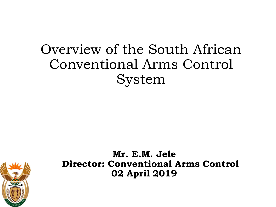### Overview of the South African Conventional Arms Control System



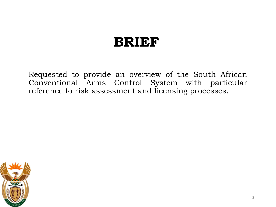#### **BRIEF**

Requested to provide an overview of the South African Conventional Arms Control System with particular reference to risk assessment and licensing processes.

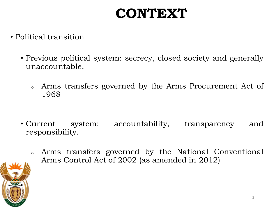# **CONTEXT**

- Political transition
	- Previous political system: secrecy, closed society and generally unaccountable.
		- <sup>o</sup> Arms transfers governed by the Arms Procurement Act of 1968

- Current system: accountability, transparency and responsibility.
	- <sup>o</sup> Arms transfers governed by the National Conventional Arms Control Act of 2002 (as amended in 2012)

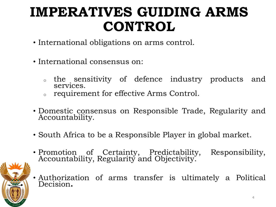# **IMPERATIVES GUIDING ARMS CONTROL**

- International obligations on arms control.
- International consensus on:
	- <sup>o</sup> the sensitivity of defence industry products and services.
	- requirement for effective Arms Control.
- Domestic consensus on Responsible Trade, Regularity and Accountability.
- South Africa to be a Responsible Player in global market.



- Promotion of Certainty, Predictability, Responsibility, Accountability, Regularity and Objectivity.
- Authorization of arms transfer is ultimately a Political Decision**.**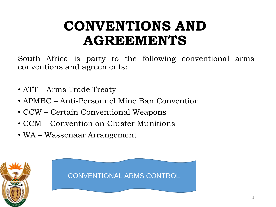### **CONVENTIONS AND AGREEMENTS**

South Africa is party to the following conventional arms conventions and agreements:

- ATT Arms Trade Treaty
- APMBC Anti-Personnel Mine Ban Convention
- CCW Certain Conventional Weapons
- CCM Convention on Cluster Munitions
- WA Wassenaar Arrangement



CONVENTIONAL ARMS CONTROL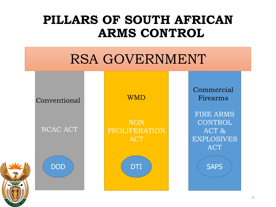#### **PILLARS OF SOUTH AFRICAN ARMS CONTROL**

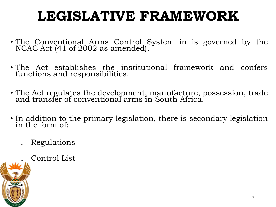# **LEGISLATIVE FRAMEWORK**

- The Conventional Arms Control System in is governed by the NCAC Act (41 of 2002 as amended).
- The Act establishes the institutional framework and confers functions and responsibilities.
- The Act regulates the development, manufacture, possession, trade and transfer of conventional arms in South Africa.
- In addition to the primary legislation, there is secondary legislation in the form of:
	- <sup>o</sup> Regulations
		- Control List

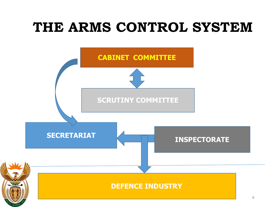### **THE ARMS CONTROL SYSTEM**

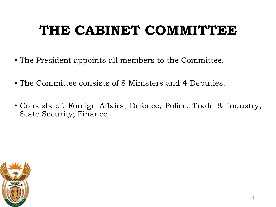# **THE CABINET COMMITTEE**

- The President appoints all members to the Committee.
- The Committee consists of 8 Ministers and 4 Deputies.
- Consists of: Foreign Affairs; Defence, Police, Trade & Industry, State Security; Finance

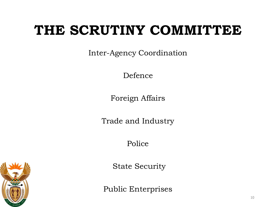### **THE SCRUTINY COMMITTEE**

Inter-Agency Coordination

Defence

Foreign Affairs

Trade and Industry

Police

State Security

Public Enterprises

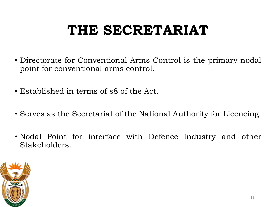# **THE SECRETARIAT**

- Directorate for Conventional Arms Control is the primary nodal point for conventional arms control.
- Established in terms of s8 of the Act.
- Serves as the Secretariat of the National Authority for Licencing.
- Nodal Point for interface with Defence Industry and other Stakeholders.

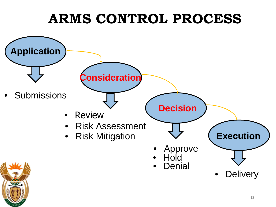# **ARMS CONTROL PROCESS**

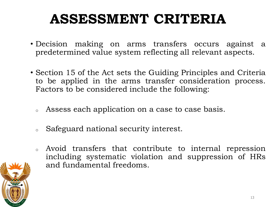# **ASSESSMENT CRITERIA**

- Decision making on arms transfers occurs against a predetermined value system reflecting all relevant aspects.
- Section 15 of the Act sets the Guiding Principles and Criteria to be applied in the arms transfer consideration process. Factors to be considered include the following:
	- <sup>o</sup> Assess each application on a case to case basis.
	- <sup>o</sup> Safeguard national security interest.
	- Avoid transfers that contribute to internal repression including systematic violation and suppression of HRs and fundamental freedoms.

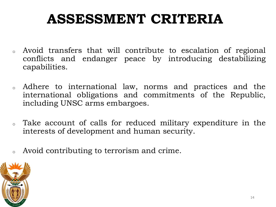# **ASSESSMENT CRITERIA**

- <sup>o</sup> Avoid transfers that will contribute to escalation of regional conflicts and endanger peace by introducing destabilizing capabilities.
- <sup>o</sup> Adhere to international law, norms and practices and the international obligations and commitments of the Republic, including UNSC arms embargoes.
- <sup>o</sup> Take account of calls for reduced military expenditure in the interests of development and human security.
- <sup>o</sup> Avoid contributing to terrorism and crime.

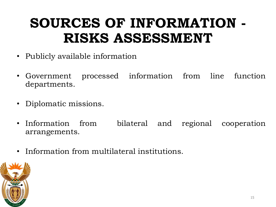# **SOURCES OF INFORMATION - RISKS ASSESSMENT**

- Publicly available information
- Government processed information from line function departments.
- Diplomatic missions.
- Information from bilateral and regional cooperation arrangements.
- Information from multilateral institutions.

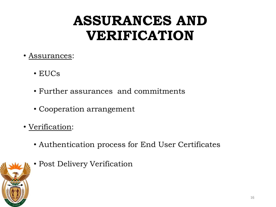# **ASSURANCES AND VERIFICATION**

- Assurances:
	- EUCs
	- Further assurances and commitments
	- Cooperation arrangement
- Verification:
	- Authentication process for End User Certificates
	- Post Delivery Verification

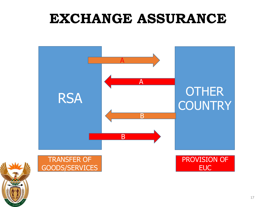### **EXCHANGE ASSURANCE**



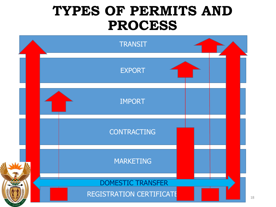#### **TYPES OF PERMITS AND PROCESS**

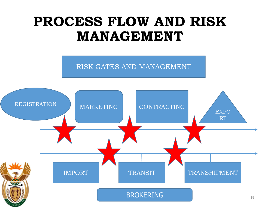### **PROCESS FLOW AND RISK MANAGEMENT**

RISK GATES AND MANAGEMENT

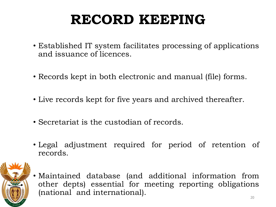# **RECORD KEEPING**

- Established IT system facilitates processing of applications and issuance of licences.
- Records kept in both electronic and manual (file) forms.
- Live records kept for five years and archived thereafter.
- Secretariat is the custodian of records.
- Legal adjustment required for period of retention of records.



• Maintained database (and additional information from other depts) essential for meeting reporting obligations (national and international).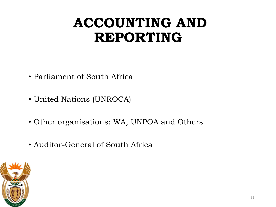### **ACCOUNTING AND REPORTING**

- Parliament of South Africa
- United Nations (UNROCA)
- Other organisations: WA, UNPOA and Others
- Auditor-General of South Africa